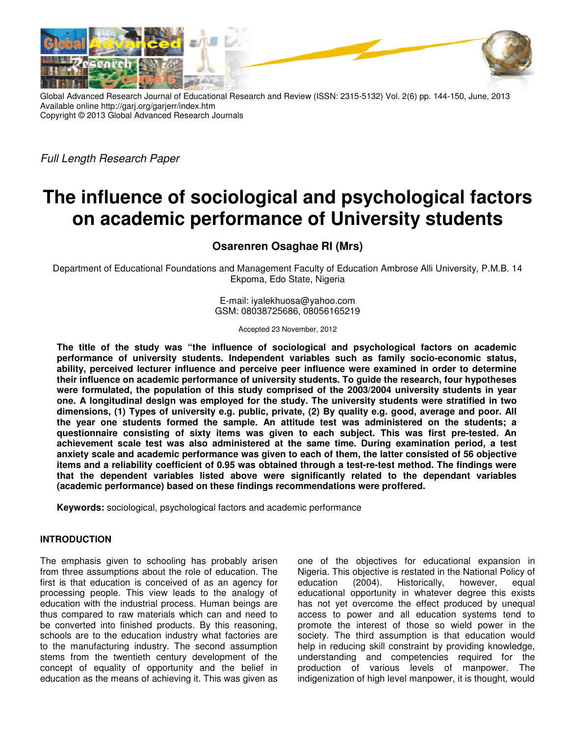

Global Advanced Research Journal of Educational Research and Review (ISSN: 2315-5132) Vol. 2(6) pp. 144-150, June, 2013 Available online http://garj.org/garjerr/index.htm Copyright © 2013 Global Advanced Research Journals

Full Length Research Paper

# **The influence of sociological and psychological factors on academic performance of University students**

**Osarenren Osaghae RI (Mrs)** 

Department of Educational Foundations and Management Faculty of Education Ambrose Alli University, P.M.B. 14 Ekpoma, Edo State, Nigeria

> E-mail: iyalekhuosa@yahoo.com GSM: 08038725686, 08056165219

> > Accepted 23 November, 2012

**The title of the study was "the influence of sociological and psychological factors on academic performance of university students. Independent variables such as family socio-economic status, ability, perceived lecturer influence and perceive peer influence were examined in order to determine their influence on academic performance of university students. To guide the research, four hypotheses were formulated, the population of this study comprised of the 2003/2004 university students in year one. A longitudinal design was employed for the study. The university students were stratified in two dimensions, (1) Types of university e.g. public, private, (2) By quality e.g. good, average and poor. All the year one students formed the sample. An attitude test was administered on the students; a questionnaire consisting of sixty items was given to each subject. This was first pre-tested. An achievement scale test was also administered at the same time. During examination period, a test anxiety scale and academic performance was given to each of them, the latter consisted of 56 objective items and a reliability coefficient of 0.95 was obtained through a test-re-test method. The findings were that the dependent variables listed above were significantly related to the dependant variables (academic performance) based on these findings recommendations were proffered.** 

**Keywords:** sociological, psychological factors and academic performance

### **INTRODUCTION**

The emphasis given to schooling has probably arisen from three assumptions about the role of education. The first is that education is conceived of as an agency for processing people. This view leads to the analogy of education with the industrial process. Human beings are thus compared to raw materials which can and need to be converted into finished products. By this reasoning, schools are to the education industry what factories are to the manufacturing industry. The second assumption stems from the twentieth century development of the concept of equality of opportunity and the belief in education as the means of achieving it. This was given as

one of the objectives for educational expansion in Nigeria. This objective is restated in the National Policy of education (2004). Historically, however, equal educational opportunity in whatever degree this exists has not yet overcome the effect produced by unequal access to power and all education systems tend to promote the interest of those so wield power in the society. The third assumption is that education would help in reducing skill constraint by providing knowledge, understanding and competencies required for the production of various levels of manpower. The indigenization of high level manpower, it is thought, would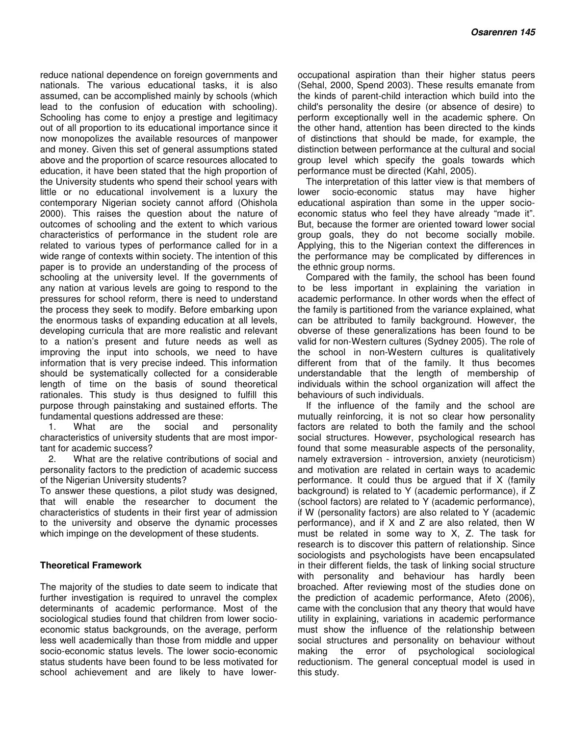reduce national dependence on foreign governments and nationals. The various educational tasks, it is also assumed, can be accomplished mainly by schools (which lead to the confusion of education with schooling). Schooling has come to enjoy a prestige and legitimacy out of all proportion to its educational importance since it now monopolizes the available resources of manpower and money. Given this set of general assumptions stated above and the proportion of scarce resources allocated to education, it have been stated that the high proportion of the University students who spend their school years with little or no educational involvement is a luxury the contemporary Nigerian society cannot afford (Ohishola 2000). This raises the question about the nature of outcomes of schooling and the extent to which various characteristics of performance in the student role are related to various types of performance called for in a wide range of contexts within society. The intention of this paper is to provide an understanding of the process of schooling at the university level. If the governments of any nation at various levels are going to respond to the pressures for school reform, there is need to understand the process they seek to modify. Before embarking upon the enormous tasks of expanding education at all levels, developing curricula that are more realistic and relevant to a nation's present and future needs as well as improving the input into schools, we need to have information that is very precise indeed. This information should be systematically collected for a considerable length of time on the basis of sound theoretical rationales. This study is thus designed to fulfill this purpose through painstaking and sustained efforts. The fundamental questions addressed are these:

1. What are the social and personality characteristics of university students that are most important for academic success?

2. What are the relative contributions of social and personality factors to the prediction of academic success of the Nigerian University students?

To answer these questions, a pilot study was designed, that will enable the researcher to document the characteristics of students in their first year of admission to the university and observe the dynamic processes which impinge on the development of these students.

### **Theoretical Framework**

The majority of the studies to date seem to indicate that further investigation is required to unravel the complex determinants of academic performance. Most of the sociological studies found that children from lower socioeconomic status backgrounds, on the average, perform less well academically than those from middle and upper socio-economic status levels. The lower socio-economic status students have been found to be less motivated for school achievement and are likely to have lower-

occupational aspiration than their higher status peers (Sehal, 2000, Spend 2003). These results emanate from the kinds of parent-child interaction which build into the child's personality the desire (or absence of desire) to perform exceptionally well in the academic sphere. On the other hand, attention has been directed to the kinds of distinctions that should be made, for example, the distinction between performance at the cultural and social group level which specify the goals towards which performance must be directed (Kahl, 2005).

The interpretation of this latter view is that members of lower socio-economic status may have higher educational aspiration than some in the upper socioeconomic status who feel they have already "made it". But, because the former are oriented toward lower social group goals, they do not become socially mobile. Applying, this to the Nigerian context the differences in the performance may be complicated by differences in the ethnic group norms.

Compared with the family, the school has been found to be less important in explaining the variation in academic performance. In other words when the effect of the family is partitioned from the variance explained, what can be attributed to family background. However, the obverse of these generalizations has been found to be valid for non-Western cultures (Sydney 2005). The role of the school in non-Western cultures is qualitatively different from that of the family. It thus becomes understandable that the length of membership of individuals within the school organization will affect the behaviours of such individuals.

If the influence of the family and the school are mutually reinforcing, it is not so clear how personality factors are related to both the family and the school social structures. However, psychological research has found that some measurable aspects of the personality, namely extraversion - introversion, anxiety (neuroticism) and motivation are related in certain ways to academic performance. It could thus be argued that if X (family background) is related to Y (academic performance), if Z (school factors) are related to Y (academic performance), if W (personality factors) are also related to Y (academic performance), and if X and Z are also related, then W must be related in some way to X, Z. The task for research is to discover this pattern of relationship. Since sociologists and psychologists have been encapsulated in their different fields, the task of linking social structure with personality and behaviour has hardly been broached. After reviewing most of the studies done on the prediction of academic performance, Afeto (2006), came with the conclusion that any theory that would have utility in explaining, variations in academic performance must show the influence of the relationship between social structures and personality on behaviour without making the error of psychological sociological reductionism. The general conceptual model is used in this study.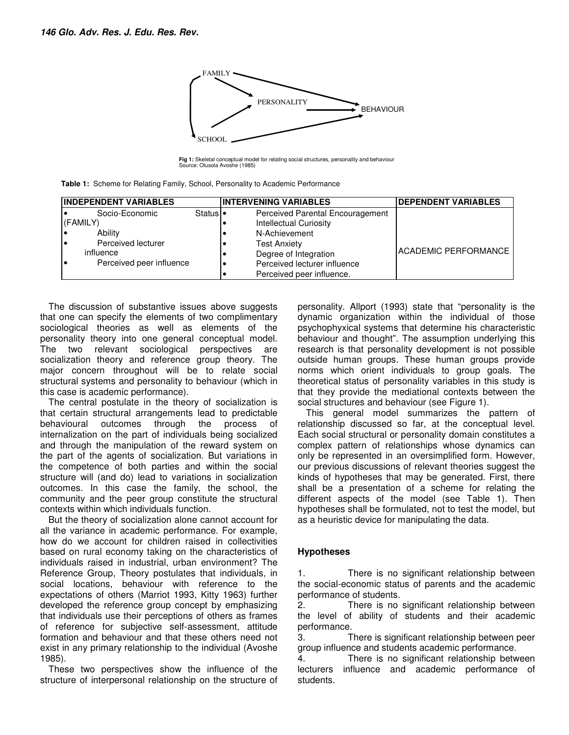

**Fig 1:** Skeletal conceptual model for relating social structures, personality and behaviour Source: Olusola Avoshe (1985)

|  |  |  | <b>Table 1:</b> Scheme for Relating Family, School, Personality to Academic Performance |
|--|--|--|-----------------------------------------------------------------------------------------|
|--|--|--|-----------------------------------------------------------------------------------------|

| <b>INDEPENDENT VARIABLES</b> |                          |          | <b>INTERVENING VARIABLES</b>     | <b>DEPENDENT VARIABLES</b>  |  |  |  |
|------------------------------|--------------------------|----------|----------------------------------|-----------------------------|--|--|--|
|                              | Socio-Economic           | Status • | Perceived Parental Encouragement |                             |  |  |  |
|                              | (FAMILY)                 |          | <b>Intellectual Curiosity</b>    |                             |  |  |  |
|                              | Ability                  |          | N-Achievement                    |                             |  |  |  |
|                              | Perceived lecturer       |          | <b>Test Anxiety</b>              |                             |  |  |  |
|                              | influence                |          | Degree of Integration            | <b>ACADEMIC PERFORMANCE</b> |  |  |  |
|                              | Perceived peer influence |          | Perceived lecturer influence     |                             |  |  |  |
|                              |                          |          | Perceived peer influence.        |                             |  |  |  |

The discussion of substantive issues above suggests that one can specify the elements of two complimentary sociological theories as well as elements of the personality theory into one general conceptual model. The two relevant sociological perspectives are socialization theory and reference group theory. The major concern throughout will be to relate social structural systems and personality to behaviour (which in this case is academic performance).

The central postulate in the theory of socialization is that certain structural arrangements lead to predictable behavioural outcomes through the process of internalization on the part of individuals being socialized and through the manipulation of the reward system on the part of the agents of socialization. But variations in the competence of both parties and within the social structure will (and do) lead to variations in socialization outcomes. In this case the family, the school, the community and the peer group constitute the structural contexts within which individuals function.

But the theory of socialization alone cannot account for all the variance in academic performance. For example, how do we account for children raised in collectivities based on rural economy taking on the characteristics of individuals raised in industrial, urban environment? The Reference Group, Theory postulates that individuals, in social locations, behaviour with reference to the expectations of others (Marriot 1993, Kitty 1963) further developed the reference group concept by emphasizing that individuals use their perceptions of others as frames of reference for subjective self-assessment, attitude formation and behaviour and that these others need not exist in any primary relationship to the individual (Avoshe 1985).

These two perspectives show the influence of the structure of interpersonal relationship on the structure of

personality. Allport (1993) state that "personality is the dynamic organization within the individual of those psychophyxical systems that determine his characteristic behaviour and thought". The assumption underlying this research is that personality development is not possible outside human groups. These human groups provide norms which orient individuals to group goals. The theoretical status of personality variables in this study is that they provide the mediational contexts between the social structures and behaviour (see Figure 1).

This general model summarizes the pattern of relationship discussed so far, at the conceptual level. Each social structural or personality domain constitutes a complex pattern of relationships whose dynamics can only be represented in an oversimplified form. However, our previous discussions of relevant theories suggest the kinds of hypotheses that may be generated. First, there shall be a presentation of a scheme for relating the different aspects of the model (see Table 1). Then hypotheses shall be formulated, not to test the model, but as a heuristic device for manipulating the data.

## **Hypotheses**

1. There is no significant relationship between the social-economic status of parents and the academic performance of students.

2. There is no significant relationship between the level of ability of students and their academic performance.

3. There is significant relationship between peer group influence and students academic performance.

4. There is no significant relationship between lecturers influence and academic performance of students.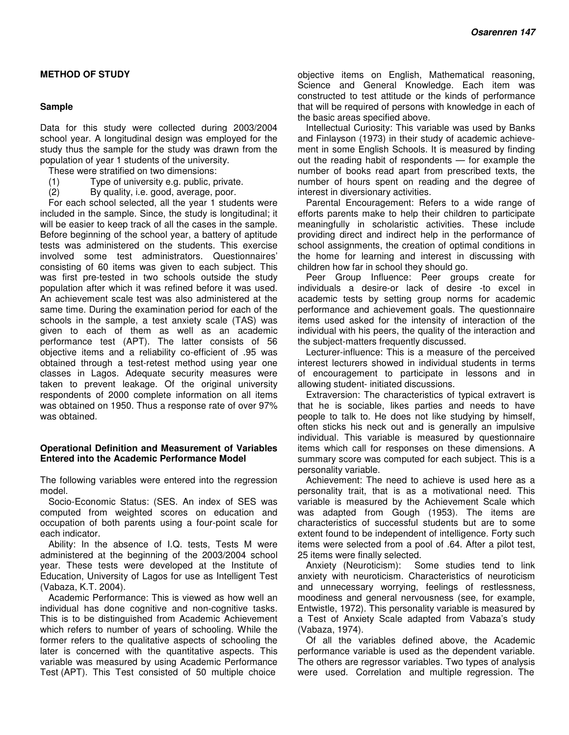## **METHOD OF STUDY**

#### **Sample**

Data for this study were collected during 2003/2004 school year. A longitudinal design was employed for the study thus the sample for the study was drawn from the population of year 1 students of the university.

These were stratified on two dimensions:

- (1) Type of university e.g. public, private.
- (2) By quality, i.e. good, average, poor.

For each school selected, all the year 1 students were included in the sample. Since, the study is longitudinal; it will be easier to keep track of all the cases in the sample. Before beginning of the school year, a battery of aptitude tests was administered on the students. This exercise involved some test administrators. Questionnaires' consisting of 60 items was given to each subject. This was first pre-tested in two schools outside the study population after which it was refined before it was used. An achievement scale test was also administered at the same time. During the examination period for each of the schools in the sample, a test anxiety scale (TAS) was given to each of them as well as an academic performance test (APT). The latter consists of 56 objective items and a reliability co-efficient of .95 was obtained through a test-retest method using year one classes in Lagos. Adequate security measures were taken to prevent leakage. Of the original university respondents of 2000 complete information on all items was obtained on 1950. Thus a response rate of over 97% was obtained.

#### **Operational Definition and Measurement of Variables Entered into the Academic Performance Model**

The following variables were entered into the regression model.

Socio-Economic Status: (SES. An index of SES was computed from weighted scores on education and occupation of both parents using a four-point scale for each indicator.

Ability: In the absence of I.Q. tests, Tests M were administered at the beginning of the 2003/2004 school year. These tests were developed at the Institute of Education, University of Lagos for use as Intelligent Test (Vabaza, K.T. 2004).

Academic Performance: This is viewed as how well an individual has done cognitive and non-cognitive tasks. This is to be distinguished from Academic Achievement which refers to number of years of schooling. While the former refers to the qualitative aspects of schooling the later is concerned with the quantitative aspects. This variable was measured by using Academic Performance Test (APT). This Test consisted of 50 multiple choice

objective items on English, Mathematical reasoning, Science and General Knowledge. Each item was constructed to test attitude or the kinds of performance that will be required of persons with knowledge in each of the basic areas specified above.

Intellectual Curiosity: This variable was used by Banks and Finlayson (1973) in their study of academic achievement in some English Schools. It is measured by finding out the reading habit of respondents — for example the number of books read apart from prescribed texts, the number of hours spent on reading and the degree of interest in diversionary activities.

Parental Encouragement: Refers to a wide range of efforts parents make to help their children to participate meaningfully in scholaristic activities. These include providing direct and indirect help in the performance of school assignments, the creation of optimal conditions in the home for learning and interest in discussing with children how far in school they should go.

Peer Group Influence: Peer groups create for individuals a desire-or lack of desire -to excel in academic tests by setting group norms for academic performance and achievement goals. The questionnaire items used asked for the intensity of interaction of the individual with his peers, the quality of the interaction and the subject-matters frequently discussed.

Lecturer-influence: This is a measure of the perceived interest lecturers showed in individual students in terms of encouragement to participate in lessons and in allowing student- initiated discussions.

Extraversion: The characteristics of typical extravert is that he is sociable, likes parties and needs to have people to talk to. He does not like studying by himself, often sticks his neck out and is generally an impulsive individual. This variable is measured by questionnaire items which call for responses on these dimensions. A summary score was computed for each subject. This is a personality variable.

Achievement: The need to achieve is used here as a personality trait, that is as a motivational need. This variable is measured by the Achievement Scale which was adapted from Gough (1953). The items are characteristics of successful students but are to some extent found to be independent of intelligence. Forty such items were selected from a pool of .64. After a pilot test, 25 items were finally selected.

Anxiety (Neuroticism): Some studies tend to link anxiety with neuroticism. Characteristics of neuroticism and unnecessary worrying, feelings of restlessness, moodiness and general nervousness (see, for example, Entwistle, 1972). This personality variable is measured by a Test of Anxiety Scale adapted from Vabaza's study (Vabaza, 1974).

Of all the variables defined above, the Academic performance variable is used as the dependent variable. The others are regressor variables. Two types of analysis were used. Correlation and multiple regression. The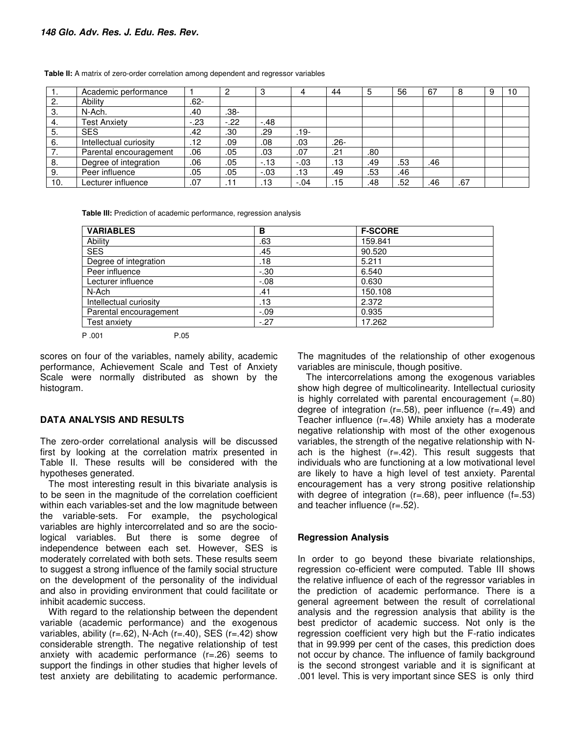|     | Academic performance   |        |        | C٠     |         | 44      | 5   | 56  | 67  | 8   | 10 |
|-----|------------------------|--------|--------|--------|---------|---------|-----|-----|-----|-----|----|
| 2.  | Ability                | .62-   |        |        |         |         |     |     |     |     |    |
| 3.  | N-Ach.                 | .40    | -38.   |        |         |         |     |     |     |     |    |
| 4.  | <b>Test Anxiety</b>    | $-.23$ | $-.22$ | $-.48$ |         |         |     |     |     |     |    |
| .5  | <b>SES</b>             | .42    | .30    | .29    | .19-    |         |     |     |     |     |    |
| 6.  | Intellectual curiosity | .12    | .09    | .08    | .03     | $.26 -$ |     |     |     |     |    |
|     | Parental encouragement | .06    | .05    | .03    | .07     | .21     | .80 |     |     |     |    |
| -8. | Degree of integration  | .06    | .05    | $-13$  | $-0.03$ | .13     | .49 | .53 | .46 |     |    |
| 9.  | Peer influence         | .05    | .05    | $-.03$ | .13     | .49     | .53 | .46 |     |     |    |
| 10. | Lecturer influence     | .07    |        | 13     | $-.04$  | .15     | .48 | .52 | .46 | .67 |    |

**Table II:** A matrix of zero-order correlation among dependent and regressor variables

**Table III:** Prediction of academic performance, regression analysis

| <b>VARIABLES</b>       | в       | <b>F-SCORE</b> |
|------------------------|---------|----------------|
| Ability                | .63     | 159.841        |
| <b>SES</b>             | .45     | 90.520         |
| Degree of integration  | .18     | 5.211          |
| Peer influence         | $-.30$  | 6.540          |
| Lecturer influence     | $-0.08$ | 0.630          |
| N-Ach                  | .41     | 150.108        |
| Intellectual curiosity | .13     | 2.372          |
| Parental encouragement | $-.09$  | 0.935          |
| Test anxiety           | $-.27$  | 17.262         |

P .001 P.05

scores on four of the variables, namely ability, academic performance, Achievement Scale and Test of Anxiety Scale were normally distributed as shown by the histogram.

#### **DATA ANALYSIS AND RESULTS**

The zero-order correlational analysis will be discussed first by looking at the correlation matrix presented in Table II. These results will be considered with the hypotheses generated.

The most interesting result in this bivariate analysis is to be seen in the magnitude of the correlation coefficient within each variables-set and the low magnitude between the variable-sets. For example, the psychological variables are highly intercorrelated and so are the sociological variables. But there is some degree of independence between each set. However, SES is moderately correlated with both sets. These results seem to suggest a strong influence of the family social structure on the development of the personality of the individual and also in providing environment that could facilitate or inhibit academic success.

With regard to the relationship between the dependent variable (academic performance) and the exogenous variables, ability ( $r=.62$ ), N-Ach ( $r=.40$ ), SES ( $r=.42$ ) show considerable strength. The negative relationship of test anxiety with academic performance (r=.26) seems to support the findings in other studies that higher levels of test anxiety are debilitating to academic performance.

The magnitudes of the relationship of other exogenous variables are miniscule, though positive.

The intercorrelations among the exogenous variables show high degree of multicolinearity. Intellectual curiosity is highly correlated with parental encouragement  $(=.80)$ degree of integration ( $r=.58$ ), peer influence ( $r=.49$ ) and Teacher influence (r=.48) While anxiety has a moderate negative relationship with most of the other exogenous variables, the strength of the negative relationship with Nach is the highest  $(r=.42)$ . This result suggests that individuals who are functioning at a low motivational level are likely to have a high level of test anxiety. Parental encouragement has a very strong positive relationship with degree of integration  $(r=.68)$ , peer influence  $(f=.53)$ and teacher influence (r=.52).

#### **Regression Analysis**

In order to go beyond these bivariate relationships, regression co-efficient were computed. Table III shows the relative influence of each of the regressor variables in the prediction of academic performance. There is a general agreement between the result of correlational analysis and the regression analysis that ability is the best predictor of academic success. Not only is the regression coefficient very high but the F-ratio indicates that in 99.999 per cent of the cases, this prediction does not occur by chance. The influence of family background is the second strongest variable and it is significant at .001 level. This is very important since SES is only third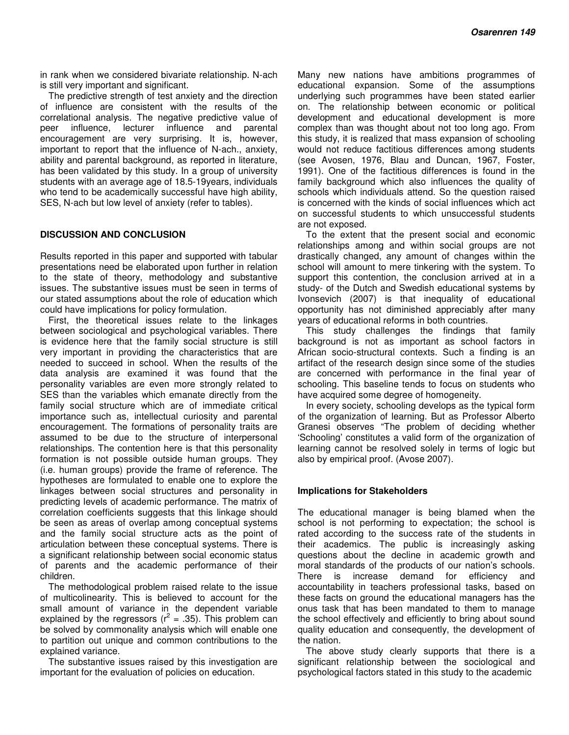in rank when we considered bivariate relationship. N-ach is still very important and significant.

The predictive strength of test anxiety and the direction of influence are consistent with the results of the correlational analysis. The negative predictive value of peer influence, lecturer influence and parental encouragement are very surprising. It is, however, important to report that the influence of N-ach., anxiety, ability and parental background, as reported in literature, has been validated by this study. In a group of university students with an average age of 18.5-19years, individuals who tend to be academically successful have high ability, SES, N-ach but low level of anxiety (refer to tables).

#### **DISCUSSION AND CONCLUSION**

Results reported in this paper and supported with tabular presentations need be elaborated upon further in relation to the state of theory, methodology and substantive issues. The substantive issues must be seen in terms of our stated assumptions about the role of education which could have implications for policy formulation.

First, the theoretical issues relate to the linkages between sociological and psychological variables. There is evidence here that the family social structure is still very important in providing the characteristics that are needed to succeed in school. When the results of the data analysis are examined it was found that the personality variables are even more strongly related to SES than the variables which emanate directly from the family social structure which are of immediate critical importance such as, intellectual curiosity and parental encouragement. The formations of personality traits are assumed to be due to the structure of interpersonal relationships. The contention here is that this personality formation is not possible outside human groups. They (i.e. human groups) provide the frame of reference. The hypotheses are formulated to enable one to explore the linkages between social structures and personality in predicting levels of academic performance. The matrix of correlation coefficients suggests that this linkage should be seen as areas of overlap among conceptual systems and the family social structure acts as the point of articulation between these conceptual systems. There is a significant relationship between social economic status of parents and the academic performance of their children.

The methodological problem raised relate to the issue of multicolinearity. This is believed to account for the small amount of variance in the dependent variable explained by the regressors ( $r^2$  = .35). This problem can be solved by commonality analysis which will enable one to partition out unique and common contributions to the explained variance.

The substantive issues raised by this investigation are important for the evaluation of policies on education.

Many new nations have ambitions programmes of educational expansion. Some of the assumptions underlying such programmes have been stated earlier on. The relationship between economic or political development and educational development is more complex than was thought about not too long ago. From this study, it is realized that mass expansion of schooling would not reduce factitious differences among students (see Avosen, 1976, Blau and Duncan, 1967, Foster, 1991). One of the factitious differences is found in the family background which also influences the quality of schools which individuals attend. So the question raised is concerned with the kinds of social influences which act on successful students to which unsuccessful students are not exposed.

To the extent that the present social and economic relationships among and within social groups are not drastically changed, any amount of changes within the school will amount to mere tinkering with the system. To support this contention, the conclusion arrived at in a study- of the Dutch and Swedish educational systems by Ivonsevich (2007) is that inequality of educational opportunity has not diminished appreciably after many years of educational reforms in both countries.

This study challenges the findings that family background is not as important as school factors in African socio-structural contexts. Such a finding is an artifact of the research design since some of the studies are concerned with performance in the final year of schooling. This baseline tends to focus on students who have acquired some degree of homogeneity.

In every society, schooling develops as the typical form of the organization of learning. But as Professor Alberto Granesi observes "The problem of deciding whether 'Schooling' constitutes a valid form of the organization of learning cannot be resolved solely in terms of logic but also by empirical proof. (Avose 2007).

#### **Implications for Stakeholders**

The educational manager is being blamed when the school is not performing to expectation; the school is rated according to the success rate of the students in their academics. The public is increasingly asking questions about the decline in academic growth and moral standards of the products of our nation's schools. There is increase demand for efficiency and accountability in teachers professional tasks, based on these facts on ground the educational managers has the onus task that has been mandated to them to manage the school effectively and efficiently to bring about sound quality education and consequently, the development of the nation.

The above study clearly supports that there is a significant relationship between the sociological and psychological factors stated in this study to the academic